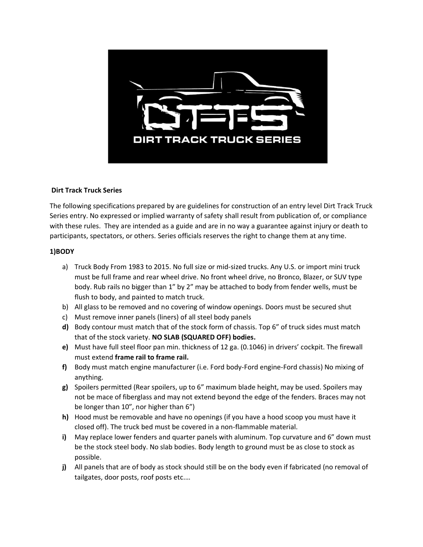

### **Dirt Track Truck Series**

The following specifications prepared by are guidelines for construction of an entry level Dirt Track Truck Series entry. No expressed or implied warranty of safety shall result from publication of, or compliance with these rules. They are intended as a guide and are in no way a guarantee against injury or death to participants, spectators, or others. Series officials reserves the right to change them at any time.

### **1)BODY**

- a) Truck Body From 1983 to 2015. No full size or mid-sized trucks. Any U.S. or import mini truck must be full frame and rear wheel drive. No front wheel drive, no Bronco, Blazer, or SUV type body. Rub rails no bigger than 1" by 2" may be attached to body from fender wells, must be flush to body, and painted to match truck.
- b) All glass to be removed and no covering of window openings. Doors must be secured shut
- c) Must remove inner panels (liners) of all steel body panels
- **d)** Body contour must match that of the stock form of chassis. Top 6" of truck sides must match that of the stock variety. **NO SLAB (SQUARED OFF) bodies.**
- **e)** Must have full steel floor pan min. thickness of 12 ga. (0.1046) in drivers' cockpit. The firewall must extend **frame rail to frame rail.**
- **f)** Body must match engine manufacturer (i.e. Ford body-Ford engine-Ford chassis) No mixing of anything.
- **g)** Spoilers permitted (Rear spoilers, up to 6" maximum blade height, may be used. Spoilers may not be mace of fiberglass and may not extend beyond the edge of the fenders. Braces may not be longer than 10", nor higher than 6")
- **h)** Hood must be removable and have no openings (if you have a hood scoop you must have it closed off). The truck bed must be covered in a non-flammable material.
- **i)** May replace lower fenders and quarter panels with aluminum. Top curvature and 6" down must be the stock steel body. No slab bodies. Body length to ground must be as close to stock as possible.
- **j)** All panels that are of body as stock should still be on the body even if fabricated (no removal of tailgates, door posts, roof posts etc.…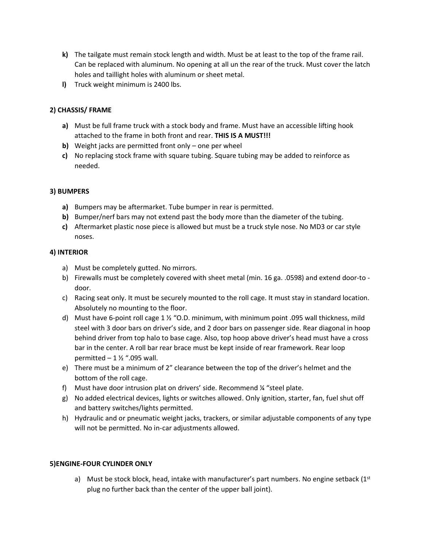- **k)** The tailgate must remain stock length and width. Must be at least to the top of the frame rail. Can be replaced with aluminum. No opening at all un the rear of the truck. Must cover the latch holes and taillight holes with aluminum or sheet metal.
- **l)** Truck weight minimum is 2400 lbs.

# **2) CHASSIS/ FRAME**

- **a)** Must be full frame truck with a stock body and frame. Must have an accessible lifting hook attached to the frame in both front and rear. **THIS IS A MUST!!!**
- **b)** Weight jacks are permitted front only one per wheel
- **c)** No replacing stock frame with square tubing. Square tubing may be added to reinforce as needed.

# **3) BUMPERS**

- **a)** Bumpers may be aftermarket. Tube bumper in rear is permitted.
- **b)** Bumper/nerf bars may not extend past the body more than the diameter of the tubing.
- **c)** Aftermarket plastic nose piece is allowed but must be a truck style nose. No MD3 or car style noses.

# **4) INTERIOR**

- a) Must be completely gutted. No mirrors.
- b) Firewalls must be completely covered with sheet metal (min. 16 ga. .0598) and extend door-to door.
- c) Racing seat only. It must be securely mounted to the roll cage. It must stay in standard location. Absolutely no mounting to the floor.
- d) Must have 6-point roll cage 1 ½ "O.D. minimum, with minimum point .095 wall thickness, mild steel with 3 door bars on driver's side, and 2 door bars on passenger side. Rear diagonal in hoop behind driver from top halo to base cage. Also, top hoop above driver's head must have a cross bar in the center. A roll bar rear brace must be kept inside of rear framework. Rear loop permitted  $-1\frac{1}{2}$  ".095 wall.
- e) There must be a minimum of 2" clearance between the top of the driver's helmet and the bottom of the roll cage.
- f) Must have door intrusion plat on drivers' side. Recommend ¼ "steel plate.
- g) No added electrical devices, lights or switches allowed. Only ignition, starter, fan, fuel shut off and battery switches/lights permitted.
- h) Hydraulic and or pneumatic weight jacks, trackers, or similar adjustable components of any type will not be permitted. No in-car adjustments allowed.

# **5)ENGINE-FOUR CYLINDER ONLY**

a) Must be stock block, head, intake with manufacturer's part numbers. No engine setback  $(1^{st}$ plug no further back than the center of the upper ball joint).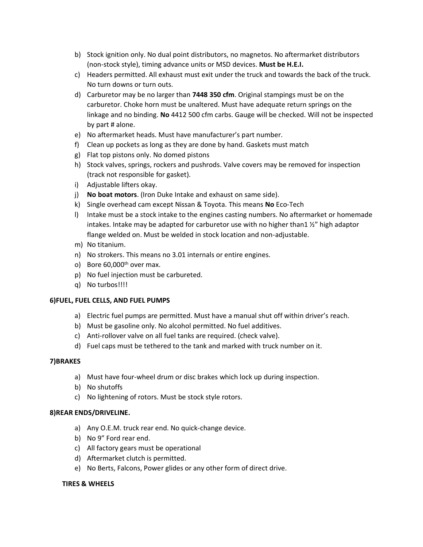- b) Stock ignition only. No dual point distributors, no magnetos. No aftermarket distributors (non-stock style), timing advance units or MSD devices. **Must be H.E.I.**
- c) Headers permitted. All exhaust must exit under the truck and towards the back of the truck. No turn downs or turn outs.
- d) Carburetor may be no larger than **7448 350 cfm**. Original stampings must be on the carburetor. Choke horn must be unaltered. Must have adequate return springs on the linkage and no binding. **No** 4412 500 cfm carbs. Gauge will be checked. Will not be inspected by part # alone.
- e) No aftermarket heads. Must have manufacturer's part number.
- f) Clean up pockets as long as they are done by hand. Gaskets must match
- g) Flat top pistons only. No domed pistons
- h) Stock valves, springs, rockers and pushrods. Valve covers may be removed for inspection (track not responsible for gasket).
- i) Adjustable lifters okay.
- j) **No boat motors**. (Iron Duke Intake and exhaust on same side).
- k) Single overhead cam except Nissan & Toyota. This means **No** Eco-Tech
- l) Intake must be a stock intake to the engines casting numbers. No aftermarket or homemade intakes. Intake may be adapted for carburetor use with no higher than1 ½" high adaptor flange welded on. Must be welded in stock location and non-adjustable.
- m) No titanium.
- n) No strokers. This means no 3.01 internals or entire engines.
- o) Bore  $60,000$ <sup>th</sup> over max.
- p) No fuel injection must be carbureted.
- q) No turbos!!!!

### **6)FUEL, FUEL CELLS, AND FUEL PUMPS**

- a) Electric fuel pumps are permitted. Must have a manual shut off within driver's reach.
- b) Must be gasoline only. No alcohol permitted. No fuel additives.
- c) Anti-rollover valve on all fuel tanks are required. (check valve).
- d) Fuel caps must be tethered to the tank and marked with truck number on it.

### **7)BRAKES**

- a) Must have four-wheel drum or disc brakes which lock up during inspection.
- b) No shutoffs
- c) No lightening of rotors. Must be stock style rotors.

### **8)REAR ENDS/DRIVELINE.**

- a) Any O.E.M. truck rear end. No quick-change device.
- b) No 9" Ford rear end.
- c) All factory gears must be operational
- d) Aftermarket clutch is permitted.
- e) No Berts, Falcons, Power glides or any other form of direct drive.

### **TIRES & WHEELS**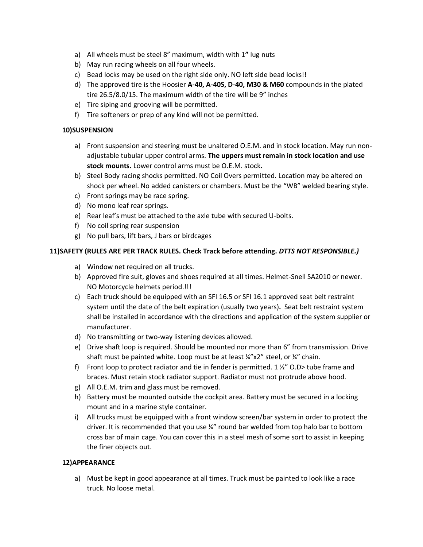- a) All wheels must be steel 8" maximum, width with 1**"** lug nuts
- b) May run racing wheels on all four wheels.
- c) Bead locks may be used on the right side only. NO left side bead locks!!
- d) The approved tire is the Hoosier **A-40, A-40S, D-40, M30 & M60** compounds in the plated tire 26.5/8.0/15. The maximum width of the tire will be 9" inches
- e) Tire siping and grooving will be permitted.
- f) Tire softeners or prep of any kind will not be permitted.

### **10)SUSPENSION**

- a) Front suspension and steering must be unaltered O.E.M. and in stock location. May run nonadjustable tubular upper control arms. **The uppers must remain in stock location and use stock mounts.** Lower control arms must be O.E.M. stock**.**
- b) Steel Body racing shocks permitted. NO Coil Overs permitted. Location may be altered on shock per wheel. No added canisters or chambers. Must be the "WB" welded bearing style.
- c) Front springs may be race spring.
- d) No mono leaf rear springs.
- e) Rear leaf's must be attached to the axle tube with secured U-bolts.
- f) No coil spring rear suspension
- g) No pull bars, lift bars, J bars or birdcages

### **11)SAFETY (RULES ARE PER TRACK RULES. Check Track before attending.** *DTTS NOT RESPONSIBLE.)*

- a) Window net required on all trucks.
- b) Approved fire suit, gloves and shoes required at all times. Helmet-Snell SA2010 or newer. NO Motorcycle helmets period.!!!
- c) Each truck should be equipped with an SFI 16.5 or SFI 16.1 approved seat belt restraint system until the date of the belt expiration (usually two years)**.** Seat belt restraint system shall be installed in accordance with the directions and application of the system supplier or manufacturer.
- d) No transmitting or two-way listening devices allowed.
- e) Drive shaft loop is required. Should be mounted nor more than 6" from transmission. Drive shaft must be painted white. Loop must be at least  $\frac{1}{4}$  x2" steel, or  $\frac{1}{4}$ " chain.
- f) Front loop to protect radiator and tie in fender is permitted. 1  $\frac{1}{2}$  O.D tube frame and braces. Must retain stock radiator support. Radiator must not protrude above hood.
- g) All O.E.M. trim and glass must be removed.
- h) Battery must be mounted outside the cockpit area. Battery must be secured in a locking mount and in a marine style container.
- i) All trucks must be equipped with a front window screen/bar system in order to protect the driver. It is recommended that you use ¼" round bar welded from top halo bar to bottom cross bar of main cage. You can cover this in a steel mesh of some sort to assist in keeping the finer objects out.

### **12)APPEARANCE**

a) Must be kept in good appearance at all times. Truck must be painted to look like a race truck. No loose metal.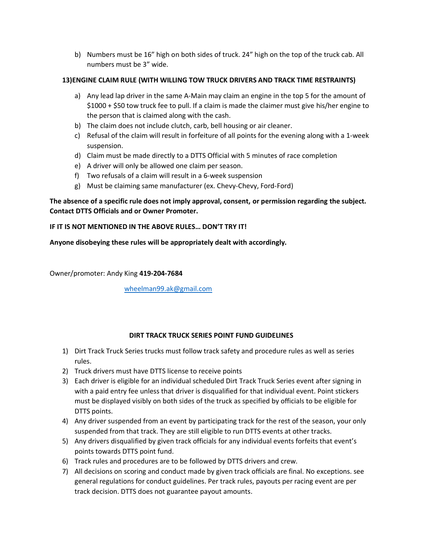b) Numbers must be 16" high on both sides of truck. 24" high on the top of the truck cab. All numbers must be 3" wide.

# **13)ENGINE CLAIM RULE (WITH WILLING TOW TRUCK DRIVERS AND TRACK TIME RESTRAINTS)**

- a) Any lead lap driver in the same A-Main may claim an engine in the top 5 for the amount of \$1000 + \$50 tow truck fee to pull. If a claim is made the claimer must give his/her engine to the person that is claimed along with the cash.
- b) The claim does not include clutch, carb, bell housing or air cleaner.
- c) Refusal of the claim will result in forfeiture of all points for the evening along with a 1-week suspension.
- d) Claim must be made directly to a DTTS Official with 5 minutes of race completion
- e) A driver will only be allowed one claim per season.
- f) Two refusals of a claim will result in a 6-week suspension
- g) Must be claiming same manufacturer (ex. Chevy-Chevy, Ford-Ford)

### **The absence of a specific rule does not imply approval, consent, or permission regarding the subject. Contact DTTS Officials and or Owner Promoter.**

### **IF IT IS NOT MENTIONED IN THE ABOVE RULES… DON'T TRY IT!**

**Anyone disobeying these rules will be appropriately dealt with accordingly.**

Owner/promoter: Andy King **419-204-7684**

[wheelman99.ak@gmail.com](mailto:wheelman99.ak@gmail.com)

### **DIRT TRACK TRUCK SERIES POINT FUND GUIDELINES**

- 1) Dirt Track Truck Series trucks must follow track safety and procedure rules as well as series rules.
- 2) Truck drivers must have DTTS license to receive points
- 3) Each driver is eligible for an individual scheduled Dirt Track Truck Series event after signing in with a paid entry fee unless that driver is disqualified for that individual event. Point stickers must be displayed visibly on both sides of the truck as specified by officials to be eligible for DTTS points.
- 4) Any driver suspended from an event by participating track for the rest of the season, your only suspended from that track. They are still eligible to run DTTS events at other tracks.
- 5) Any drivers disqualified by given track officials for any individual events forfeits that event's points towards DTTS point fund.
- 6) Track rules and procedures are to be followed by DTTS drivers and crew.
- 7) All decisions on scoring and conduct made by given track officials are final. No exceptions. see general regulations for conduct guidelines. Per track rules, payouts per racing event are per track decision. DTTS does not guarantee payout amounts.